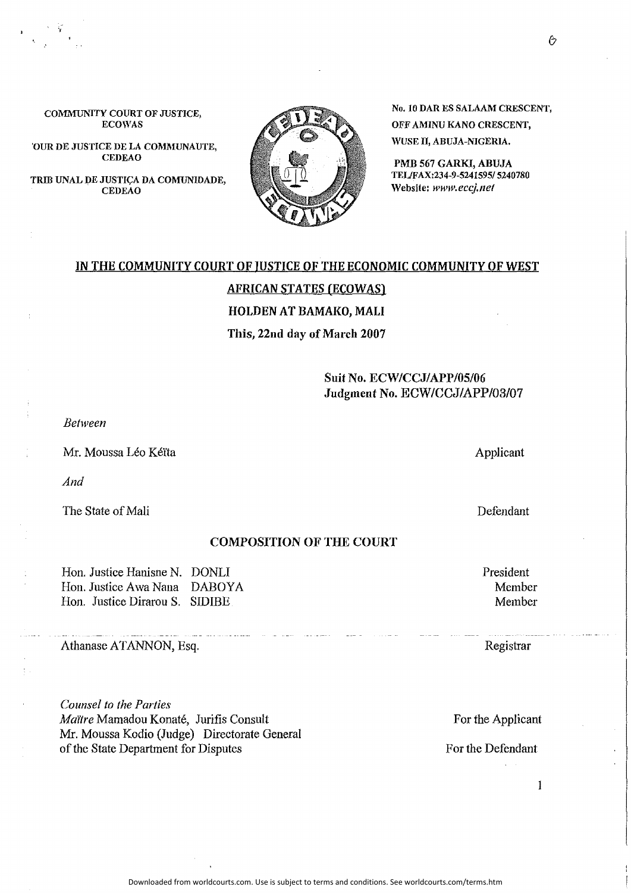Downloaded from worldcourts.com. Use is subject to terms and conditions. See worldcourts.com/terms.htm

#### COMMUNITY COURT OF JUSTICE, ECOWAS

'OUR DE JUSTICE DE LA COMMUNAUTE, CEDEAO

TRIB UNAL DE JUSTIÇA DA COMUNIDADE, CEDEAO

> **IN THE COMMUNITY COURT OF JUSTICE OF THE ECONOMIC COMMUNITY OF WEST AFRICAN STATES (ECOWAS)**

> > **HOLDEN AT BAMAKO, MALI**

#### **This, 22nd day of March 2007**

**Suit No. ECW/CCJ/APP/05/06 Judgment No.** ECW/CCJ/APP/03/07

*Behveen* 

Mr. Moussa Léo Kéïta

*And* 

The State of Mali

#### **COMPOSITION OF THE COURT**

Hon. Justice Hanisne N. DONLI Hon. Justice Awa Nana DABOYA Hon. Justice Dirarou S. SIDIBE

Athanase ATANNON, Esq.

*Counsel to the Parties MaiYre* Mamadou Konate, Jurifis Consult Mr. Moussa Kodio (Judge) Directorate General of the State Department for Disputes

No. 10 DAR ES SALAMI CRESCENT, OFF AMINU KANO CRESCENT, WUSE II, ABUJA-NIGERIA,

PMB 567 GARKJ, ABUJA TEUFAX:234-9-5241595/ 5240780 Website: *www.eccj.11et* 

President Member Member

Registrar

For the Applicant

For the Defendant

Applicant

Defendant

I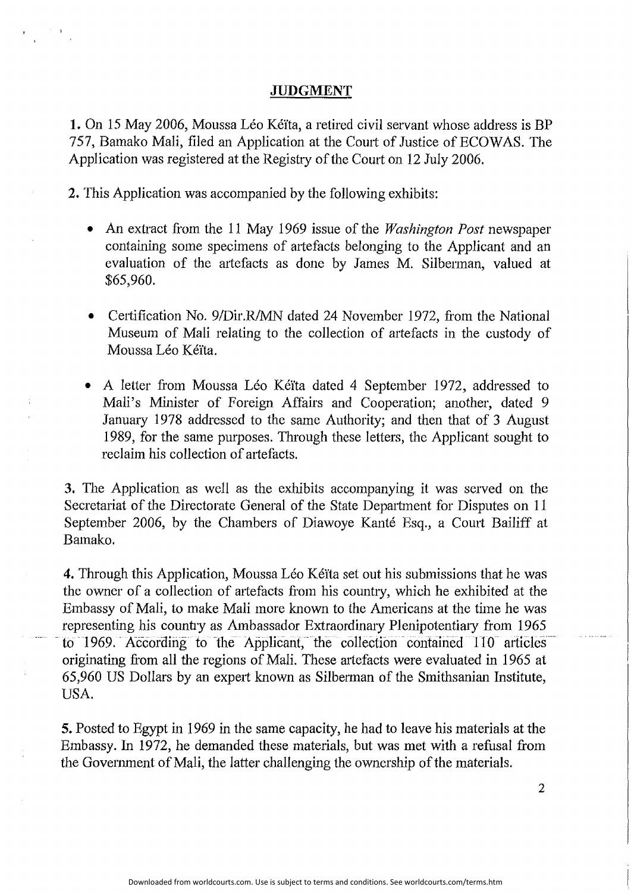## **JUDGMENT**

**1.** On 15 May 2006, Moussa Léo Kéïta, a retired civil servant whose address is BP 757, Bamako Mali, filed an Application at the Court of Justice of ECOWAS. The Application was registered at the Regishy of the Court on 12 July 2006.

**2.** This Application was accompanied by the following exhibits:

- An extract from the 11 May 1969 issue of the *Washington Post* newspaper containing some specimens of artefacts belonging to the Applicant and an evaluation of the artefacts as done by James M. Silberman, valued at \$65,960.
- Certification No. 9/Dir.R/MN dated 24 November 1972, from the National Museum of Mali relating to the collection of artefacts in the custody of Moussa Léo Kéïta.
- A letter from Moussa Léo Kéïta dated 4 September 1972, addressed to Mali's Minister of Foreign Affairs and Cooperation; another, dated 9 January 1978 addressed to the same Authority; and then that of 3 August 1989, for the same purposes. Through these letters, the Applicant sought to reclaim his collection of artefacts.

**3.** The Application as well as the exhibits accompanying it was served on the Secretariat of the Directorate General of the State Depmtment for Disputes on 11 September 2006, by the Chambers of Diawoye Kanté Esq., a Court Bailiff at Bamako.

**4.** Through this Application, Moussa Leo Ke'ita set out his submissions that he was the owner of a collection of mtefacts from his country, which he exhibited at the Embassy of Mali, to make Mali more known to the Americans at the time he was representing his country as Ambassador Extraordinary Plenipotentiary from 1965 to 1969. According to the Applicant, the collection contained 110 articles originating from all the regions of Mali. These artefacts were evaluated in 1965 at 65,960 US Dollars by an expert known as Silberman of the Smithsanian Institute, USA.

**5,** Posted to Egypt in 1969 in the same capacity, he had to leave his materials at the Embassy. In 1972, he demanded these materials, but was met with a refusal from the Govemment of Mali, the latter challenging the ownership of the materials.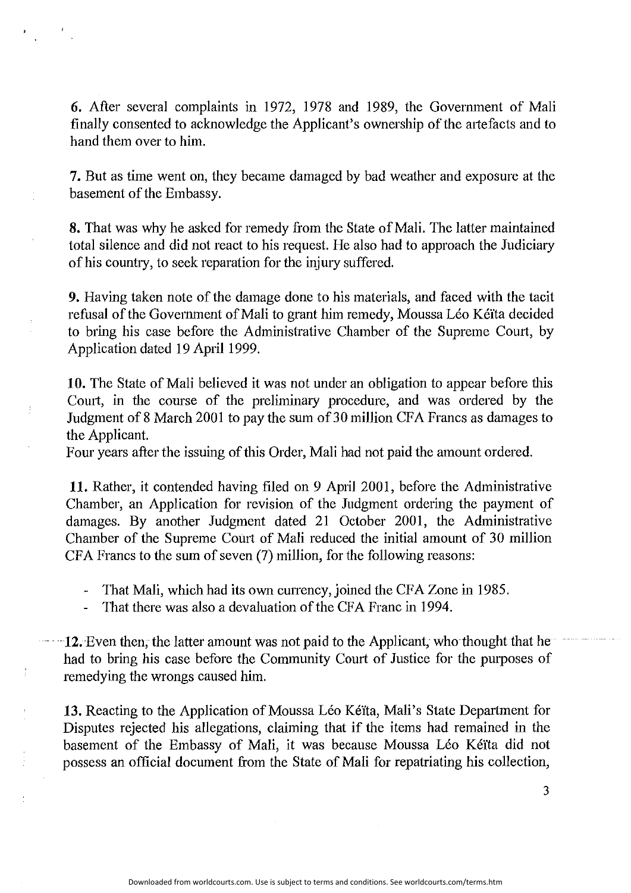**6.** After several complaints in 1972, 1978 and 1989, the Government of Mali finally consented to acknowledge the Applicant's ownership of the miefacts and to hand them over to him.

7. But as time went on, they became damaged by bad weather and exposure at the basement of the Embassy.

**8.** That was why he asked for remedy from the State of Mali. The latter maintained total silence and did not react to his request. He also had to approach the Judiciary of his country, to seek reparation for the injury suffered.

**9.** Having taken note of the damage done to his materials, and faced with the tacit refusal of the Government of Mali to grant him remedy, Moussa Léo Kéïta decided to bring his case before the Administrative Chamber of the Supreme Court, by Application dated 19 April 1999.

**10.** The State of Mali believed it was not under an obligation to appear before this Comi, in the course of the preliminary procedure, and was ordered by the Judgment of 8 March 2001 to pay the sum of 30 million CFA Francs as damages to the Applicant.

Four years after the issuing of this Order, Mali had not paid the amount ordered.

**11.** Rather, it contended having filed on 9 April 2001, before the Administrative Chamber, an Application for revision of the Judgment ordering the payment of damages. By another Judgment dated 21 October 2001, the Administrative Chamber of the Supreme Court of Mali reduced the initial amount of 30 million CFA Francs to the sum of seven (7) million, for the following reasons:

- That Mali, which had its own currency, joined the CFA Zone in 1985.
- That there was also a devaluation of the CFA Franc in 1994.
- ·· **12.** Even then, the latter amount was not paid to the Applicant, who thought that he had to bring his case before the Community Court of Justice for the purposes of remedying the wrongs caused him.

13. Reacting to the Application of Moussa Léo Kéïta, Mali's State Department for Disputes rejected his allegations, claiming that if the items had remained in the basement of the Embassy of Mali, it was because Moussa Léo Kéïta did not possess an official document from the State of Mali for repatriating his collection,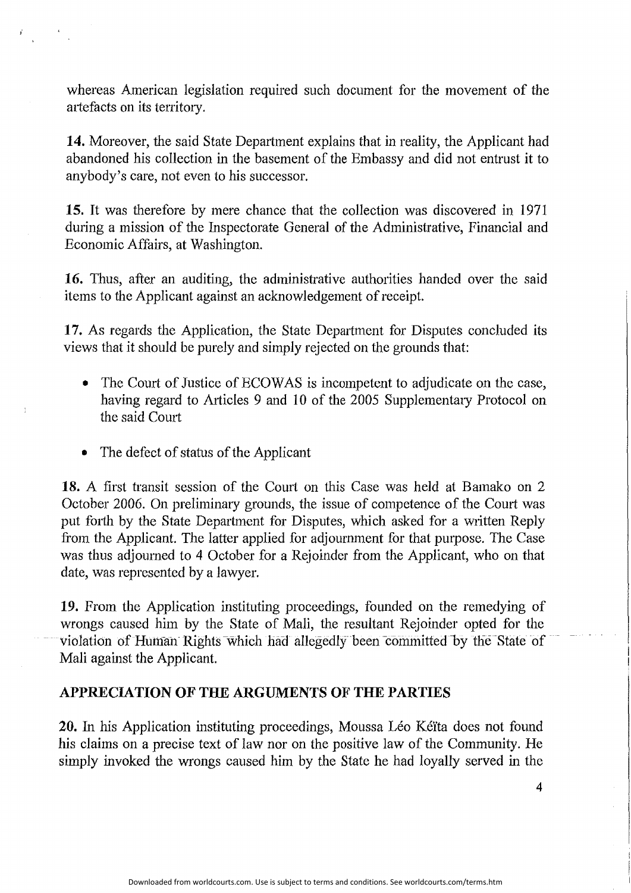whereas American legislation required such document for the movement of the artefacts on its territory.

**14.** Moreover, the said State Department explains that in reality, the Applicant had abandoned his collection in the basement of the Embassy and did not entrust it to anybody's care, not even to his successor.

**15.** It was therefore by mere chance that the collection was discovered in 1971 during a mission of the Inspectorate General of the Administrative, Financial and Economic Affairs, at Washington.

**16.** Thus, after an auditing, the administrative authorities handed over the said items to the Applicant against an acknowledgement of receipt.

**17.** As regards the Application, the State Department for Disputes concluded its views that it should be purely and simply rejected on the grounds that:

- The Court of Justice of ECOWAS is incompetent to adjudicate on the case, having regard to Atticles 9 and 10 of the 2005 Supplementary Protocol on the said Court
- The defect of status of the Applicant

**18.** A first transit session of the Court on this Case was held at Bamako on 2 October 2006. On preliminary grounds, the issue of competence of the Court was put forth by the State Department for Disputes, which asked for a written Reply from the Applicant. The latter applied for adjournment for that purpose. The Case was thus adjomned to 4 October for a Rejoinder from the Applicant, who on that date, was represented by a lawyer.

**19.** From the Application instituting proceedings, founded on the remedying of wrongs caused him by the State of Mali, the resultant Rejoinder opted for the violation of Human-Rights-which had allegedly-been committed by the State of Mali against the Applicant.

## **APPRECIATION OF THE ARGUMENTS OF THE PARTIES**

**20.** In his Application instituting proceedings, Moussa Léo Kéita does not found his claims on a precise text of law nor on the positive law of the Community. He simply invoked the wrongs caused him by the State he had loyally served in the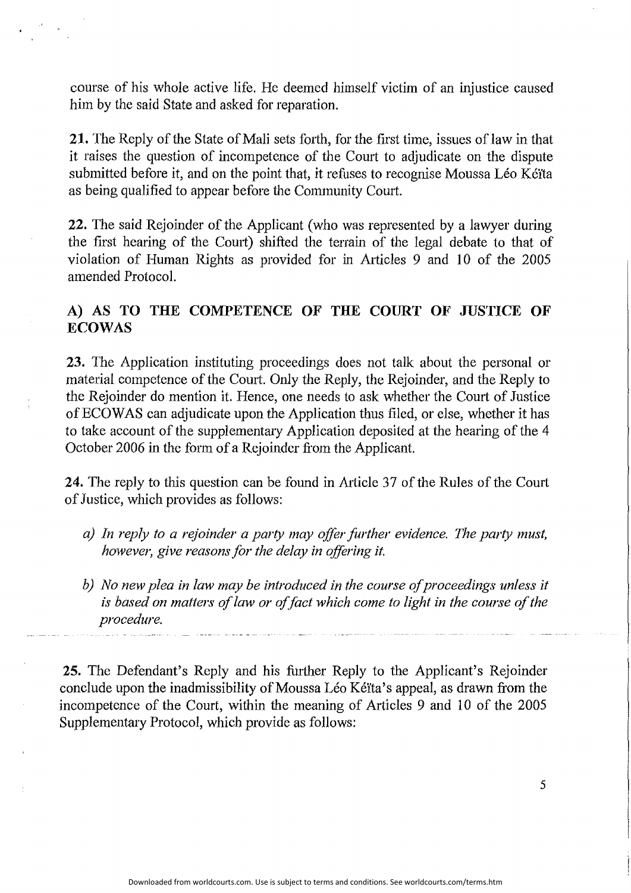course of his whole active life. He deemed himself victim of an injustice caused him by the said State and asked for reparation.

**21.** The Reply of the State of Mali sets forth, for the first time, issues of law in that it raises the question of incompetence of the Comt to adjudicate on the dispute submitted before it, and on the point that, it refuses to recognise Moussa Léo Kéïta as being qualified to appear before the Community Court.

**22.** The said Rejoinder of the Applicant (who was represented by a lawyer during the first hearing of the Court) shifted the terrain of the legal debate to that of violation of Human Rights as provided for in Articles 9 and 10 of the 2005 amended Protocol.

# A) AS TO THE COMPETENCE OF THE COURT OF JUSTICE OF **ECOWAS**

**23.** The Application instituting proceedings does not talk about the personal or material competence of the Court. Only the Reply, the Rejoinder, and the Reply to the Rejoinder do mention it. Hence, one needs to ask whether the Comt of Justice of ECO WAS can adjudicate upon the Application thus filed, or else, whether it has to take account of the supplementary Application deposited at the hearing of the 4 October 2006 in the form of a Rejoinder from the Applicant.

24. The reply to this question can be found in Article 37 of the Rules of the Court of Justice, which provides as follows:

- *a) In reply to a rejoinder a party may offer further evidence. The party must, however, give reasons for the delay in offering it.*
- b) No new plea in law may be introduced in the course of proceedings unless it *is based on matters of law or of fact which come to light in the course of the procedure.*

**25.** The Defendant's Reply and his further Reply to the Applicant's Rejoinder conclude upon the inadmissibility of Moussa Léo Kéïta's appeal, as drawn from the incompetence of the Court, within the meaning of Articles 9 and 10 of the 2005 Supplementary Protocol, which provide as follows: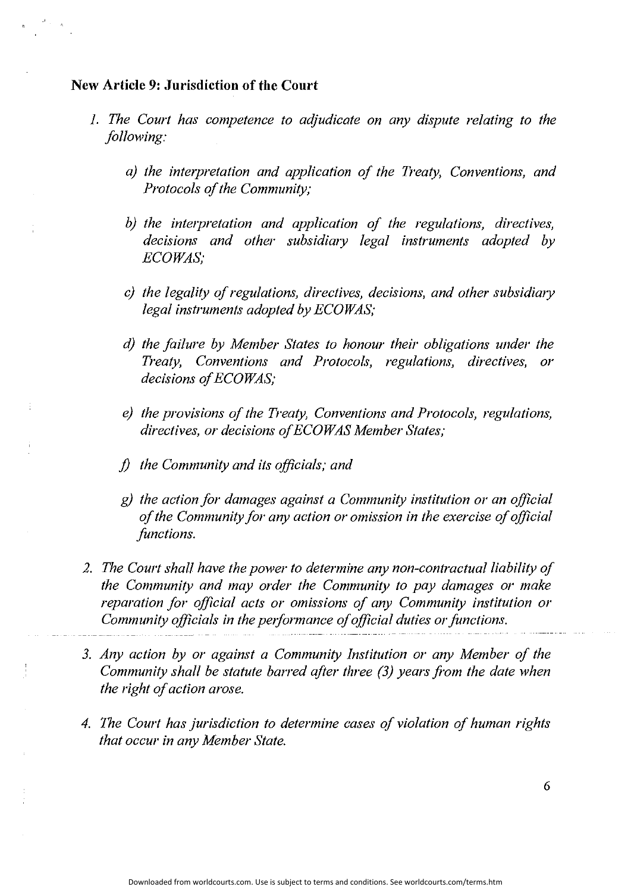## **New Article 9: Jurisdiction of the Court**

- J. *The Court has competence to adjudicate on any dispute relating to the following:* 
	- *a)* the interpretation and application of the Treaty, Conventions, and *Protocols of the Community;*
	- *b)* the interpretation and application of the regulations, directives, *decisions and other subsidimy legal instruments adopted by ECOWAS;*
	- *c) the legality of regulations, directives, decisions, and other subsidiary legal instruments adopted by ECOWAS;*
	- *d) the failure by Member States to honour their obligations under the Treaty, Conventions and Protocols, regulations, directives, or decisions o/ECOWAS;*
	- *e) the provisions of the Treaty, Conventions and Protocols, regulations, directives, or decisions of ECO WAS Member States;*
	- *j) the Community and its officials; and*
	- *g) the action for damages against a Community institution or an official of the Community for any action or omission in the exercise of official functions.*
- *2. The Court shall have the power to determine any non-contractual liability of the Community and may order the Community to pay damages or make reparation for official acts or omissions of any Community institution or Community officials in the performance of official duties or functions.*
- *3. Any action by or against a Community Institution or any Member of the Community shall be statute barred after three (3) years from the date when the right of action arose.*
- *4. The Court has jurisdiction to determine cases of violation of human rights that occur in any Member State.*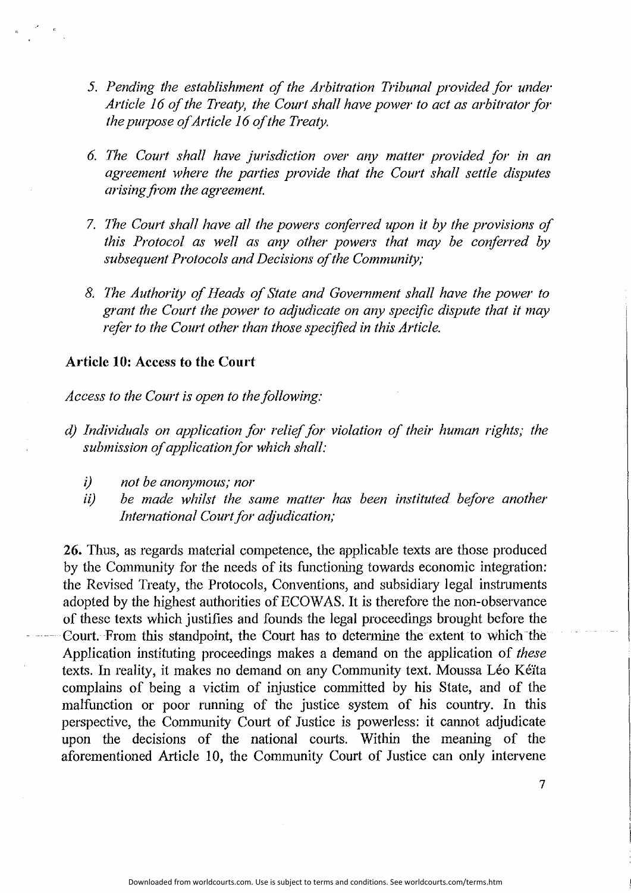- *5. Pending the establishment of the Arbitration Tribunal provided for under Article 16 of the Treaty, the Court shall have power to act as arbitrator for the pwpose of Article 16 of the Treaty.*
- *6. 171e Court shall have jurisdiction over any matter provided for in an agreement where the parties provide that the Court shall settle disputes arising from the agreement.*
- *7. The Court shall have all the powers conferred upon it by the provisions of this Protocol as well as any other powers that may be conferred by subsequent Protocols and Decisions of the Community;*
- *8. The Authority of Heads of State and Government shall have the power to grant the Court the power to adjudicate on any specific dispute that it may refer to the Court other than those specified in this Article.*

### **Article 10: Access to the Court**

Access to the Court is open to the following:

- *d) Individuals on application for relief for violation of their human rights; the*  submission of application for which shall:
	- *i) not be anonymous; nor*
	- ii) be made whilst the same matter has been instituted before another *International Court for adjudication;*

**26.** Thus, as regards material competence, the applicable texts are those produced by the Community for the needs of its functioning towards economic integration: the Revised Treaty, the Protocols, Conventions, and subsidiary legal instruments adopted by the highest authorities of ECOW AS. It is therefore the non-observance of these texts which justifies and founds the legal proceedings brought before the Court. From this standpoint, the Court has to determine the extent to which the Application instituting proceedings makes a demand on the application of *these*  texts. In reality, it makes no demand on any Community text. Moussa Léo Kéïta complains of being a victim of injustice committed by his State, and of the malfunction or poor running of the justice system of his country. In this perspective, the Community Court of Justice is powerless: it cannot adjudicate upon the decisions of the national courts. Within the meaning of the aforementioned Article 10, the Community Court of Justice can only intervene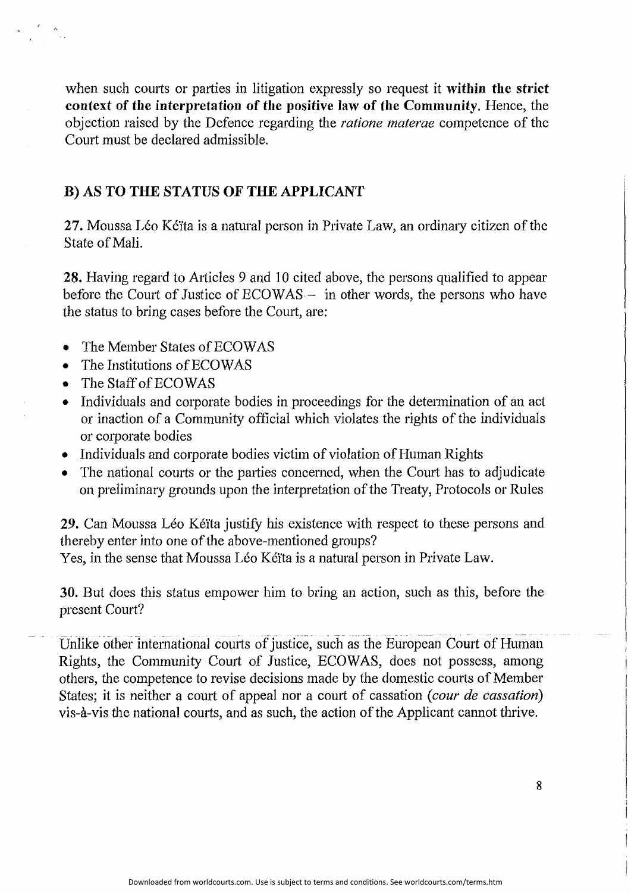when such courts or parties in litigation expressly so request it **within the strict context of the interpretation of the positive Jaw of the Community.** Hence, the objection raised by the Defence regarding the *ratione materae* competence of the Court must be declared admissible.

# **B) AS TO THE STATUS OF THE APPLICANT**

**27.** Moussa Léo Kéïta is a natural person in Private Law, an ordinary citizen of the State of Mali.

**28.** Having regard to Atticles 9 and IO cited above, the persons qualified to appear before the Court of Justice of ECOWAS - in other words, the persons who have the status to bring cases before the Comt, are:

- The Member States of ECOWAS
- The Institutions of ECOWAS
- The Staff of ECOWAS
- Individuals and corporate bodies in proceedings for the determination of an act or inaction of a Community official which violates the rights of the individuals or corporate bodies
- Individuals and corporate bodies victim of violation of Human Rights
- The national courts or the parties concerned, when the Court has to adjudicate on preliminary grounds upon the interpretation of the Treaty, Protocols or Rules

**29.** Can Moussa Léo Kéïta justify his existence with respect to these persons and thereby enter into one of the above-mentioned groups?

Yes, in the sense that Moussa Léo Kéita is a natural person in Private Law.

**30.** But does this status empower him to bring an action, such as this, before the present Court?

Unlike other international courts of justice, such as the European Court of Human Rights, the Community Court of Justice, ECOWAS, does not possess, among others, the competence to revise decisions made by the domestic courts of Member States; it is neither a court of appeal nor a court of cassation (*cour de cassation*) vis-a-vis the national courts, and as such, the action of the Applicant cannot thrive.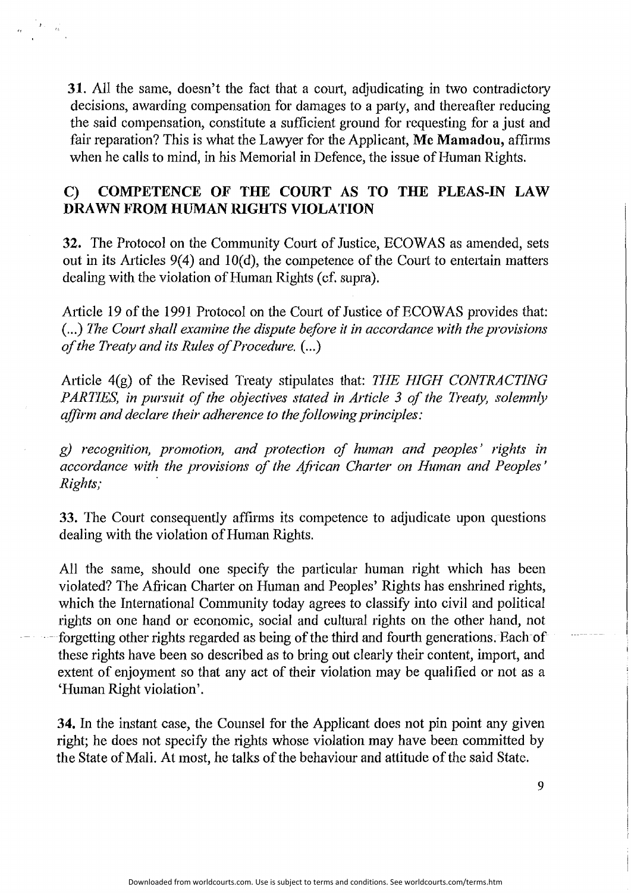**31.** All the same, doesn't the fact that a court, adjudicating in two contradictory decisions, awarding compensation for damages to a party, and thereafter reducing the said compensation, constitute a sufficient ground for requesting for a just and fair reparation? *This* is what the Lawyer for the Applicant, **Me Mamadou,** affirms when he calls to mind, in his Memorial in Defence, the issue of Human Rights.

# **C) COMPETENCE OF THE COURT AS TO THE PLEAS-IN LAW DRAWN FROM HUMAN RIGHTS VIOLATION**

**32.** The Protocol on the Community Court of Justice, ECOWAS as amended, sets out in its Articles  $9(4)$  and  $10(d)$ , the competence of the Court to entertain matters dealing with the violation of Human Rights (cf. supra).

Article 19 of the 1991 Protocol on the Court of Justice of ECOWAS provides that: ( ... ) *The Court shall examine the dispute before it in accordance with the provisions of the Treaty and its Rules of Procedure.* ( ... )

Aiticle 4(g) of the Revised Treaty stipulates that: *THE HIGH CONTRACTING PARTIES, in pursuit of the objectives stated in Article 3 of the Treaty, solemnly affirm and declare their adherence to the following principles:* 

*g) recognition, promotion, and protection of human and peoples' rights in accordance with the provisions of the African Charter on Human and Peoples' Rights;* .

**33.** The Court consequently affirms its competence to adjudicate upon questions dealing with the violation of Human Rights.

All the same, should one specify the particular human right which has been violated? The African Charter on Human and Peoples' Rights has enshrined rights, which the International Community today agrees to classify into civil and political rights on one hand or economic, social and cultural rights on the other hand, not forgetting other rights regarded as being of the third and fourth generations. Each of these rights have been so described as to bring out clearly their content, import, and extent of enjoyment so that any act of their violation may be qualified or not as a 'Human Right violation'.

**34.** In the instant case, the Counsel for the Applicant does not pin point any given right; he does not specify the rights whose violation may have been committed by the State of Mali. At most, he talks of the behaviour and attitude of the said State.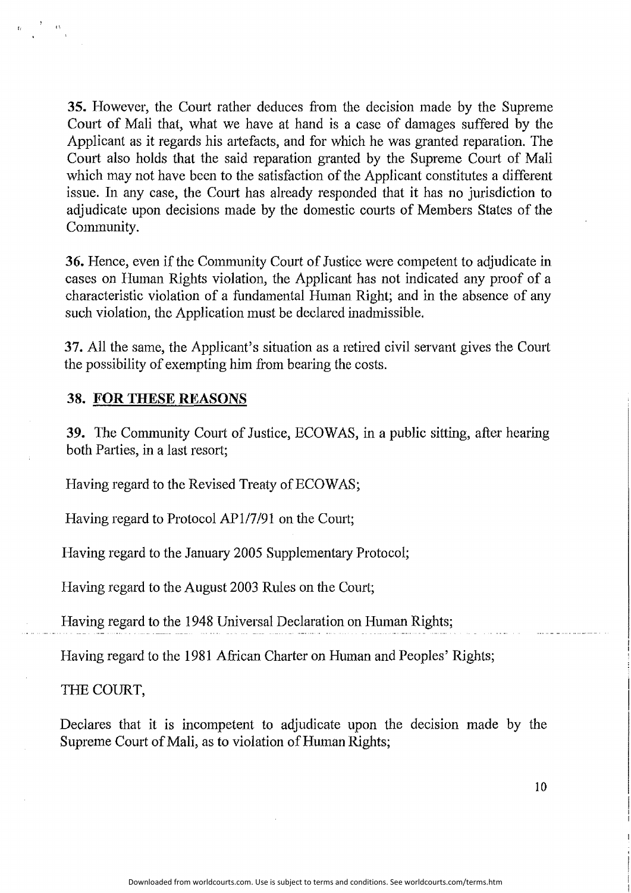**35.** However, the Court rather deduces from the decision made by the Supreme Court of Mali that, what we have at hand is a case of damages suffered by the Applicant as it regards his artefacts, and for which he was granted reparation. The Court also holds that the said reparation granted by the Supreme Court of Mali which may not have been to the satisfaction of the Applicant constitutes a different issue. In any case, the Court has already responded that it has no jurisdiction to adjudicate upon decisions made by the domestic courts of Members States of the Community.

**36.** Hence, even if the Community Court of Justice were competent to adjudicate in cases on Human Rights violation, the Applicant has not indicated any proof of a characteristic violation of a fundamental Human Right; and in the absence of any such violation, the Application must be declared inadmissible.

**37.** AII the same, the Applicant's situation as a retired civil servant gives the Court the possibility of exempting him from bearing the costs.

#### **38. FOR THESE REASONS**

**39.** The Community Court of Justice, ECOWAS, in a public sitting, after hearing both Parties, in a last resort;

Having regard to the Revised Treaty of ECOWAS;

Having regard to Protocol APl/7/91 on the Court;

Having regard to the January 2005 Supplementary Protocol;

Having regard to the August 2003 Rules on the Comt;

Having regard to the 1948 Universal Declaration on Human Rights;

Having regard to the 1981 African Charter on Human and Peoples' Rights;

THE COURT,

Declares that it is incompetent to adjudicate upon the decision made by the Supreme Court of Mali, as to violation of Human Rights;